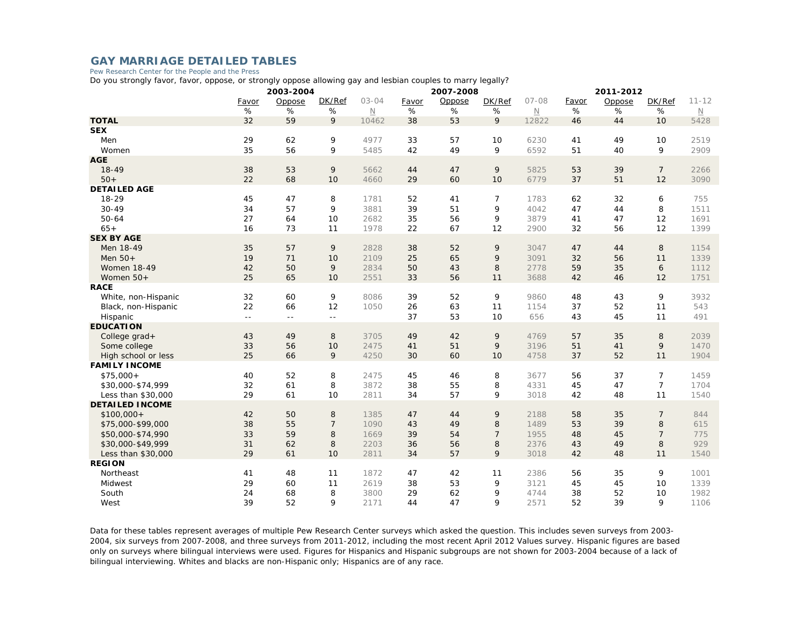## **GAY MARRIAGE DETAILED TABLES**

Pew Research Center for the People and the Press

Do you strongly favor, favor, oppose, or strongly oppose allowing gay and lesbian couples to marry legally?

|                                              | 2003-2004     |            |                |                       |          | 2007-2008 |                |                                  | 2011-2012 |          |                |                          |
|----------------------------------------------|---------------|------------|----------------|-----------------------|----------|-----------|----------------|----------------------------------|-----------|----------|----------------|--------------------------|
|                                              | Favor         | Oppose     | DK/Ref         | $03 - 04$             | Favor    | Oppose    | DK/Ref         | $07 - 08$                        | Favor     | Oppose   | DK/Ref         | $11 - 12$                |
|                                              | %             | %          | %              | $\hbox{\color{red}N}$ | %        | $\%$      | %              | $\hbox{\ensuremath{\mathbb{N}}}$ | %         | %        | %              | $\underline{\mathsf{N}}$ |
| <b>TOTAL</b>                                 | 32            | 59         | 9              | 10462                 | 38       | 53        | 9              | 12822                            | 46        | 44       | 10             | 5428                     |
| <b>SEX</b>                                   |               |            |                |                       |          |           |                |                                  |           |          |                |                          |
| Men                                          | 29            | 62         | 9              | 4977                  | 33       | 57        | 10             | 6230                             | 41        | 49       | 10             | 2519                     |
| Women                                        | 35            | 56         | 9              | 5485                  | 42       | 49        | 9              | 6592                             | 51        | 40       | 9              | 2909                     |
| <b>AGE</b>                                   |               |            |                |                       |          |           |                |                                  |           |          |                |                          |
| $18 - 49$                                    | 38            | 53         | 9              | 5662                  | 44       | 47        | 9              | 5825                             | 53        | 39       | $\overline{7}$ | 2266                     |
| $50+$                                        | 22            | 68         | 10             | 4660                  | 29       | 60        | 10             | 6779                             | 37        | 51       | 12             | 3090                     |
| <b>DETAILED AGE</b>                          |               |            |                |                       |          |           |                |                                  |           |          |                |                          |
| 18-29                                        | 45            | 47         | 8              | 1781                  | 52       | 41        | $\overline{7}$ | 1783                             | 62        | 32       | 6              | 755                      |
| $30 - 49$<br>$50 - 64$                       | 34<br>27      | 57         | 9              | 3881                  | 39<br>35 | 51        | 9              | 4042<br>3879                     | 47        | 44       | 8<br>12        | 1511                     |
| $65+$                                        | 16            | 64<br>73   | 10<br>11       | 2682<br>1978          | 22       | 56<br>67  | 9<br>12        | 2900                             | 41<br>32  | 47<br>56 | 12             | 1691<br>1399             |
| <b>SEX BY AGE</b>                            |               |            |                |                       |          |           |                |                                  |           |          |                |                          |
| Men 18-49                                    | 35            | 57         | 9              | 2828                  | 38       | 52        | 9              | 3047                             | 47        | 44       | 8              | 1154                     |
| Men $50+$                                    | 19            | 71         | 10             | 2109                  | 25       | 65        | 9              | 3091                             | 32        | 56       | 11             | 1339                     |
| <b>Women 18-49</b>                           | 42            | 50         | 9              | 2834                  | 50       | 43        | $\,8\,$        | 2778                             | 59        | 35       | 6              | 1112                     |
| Women 50+                                    | 25            | 65         | 10             | 2551                  | 33       | 56        | 11             | 3688                             | 42        | 46       | 12             | 1751                     |
| <b>RACE</b>                                  |               |            |                |                       |          |           |                |                                  |           |          |                |                          |
| White, non-Hispanic                          | 32            | 60         | 9              | 8086                  | 39       | 52        | 9              | 9860                             | 48        | 43       | 9              | 3932                     |
| Black, non-Hispanic                          | 22            | 66         | 12             | 1050                  | 26       | 63        | 11             | 1154                             | 37        | 52       | 11             | 543                      |
| Hispanic                                     | $\sim$ $\sim$ | $\sim$ $-$ | $\sim$ $\sim$  |                       | 37       | 53        | 10             | 656                              | 43        | 45       | 11             | 491                      |
| <b>EDUCATION</b>                             |               |            |                |                       |          |           |                |                                  |           |          |                |                          |
| College grad+                                | 43            | 49         | 8              | 3705                  | 49       | 42        | 9              | 4769                             | 57        | 35       | 8              | 2039                     |
| Some college                                 | 33            | 56         | 10             | 2475                  | 41       | 51        | 9              | 3196                             | 51        | 41       | 9              | 1470                     |
| High school or less                          | 25            | 66         | 9              | 4250                  | 30       | 60        | 10             | 4758                             | 37        | 52       | 11             | 1904                     |
| <b>FAMILY INCOME</b>                         |               |            |                |                       |          |           |                |                                  |           |          |                |                          |
| $$75,000+$                                   | 40            | 52         | 8              | 2475                  | 45       | 46        | 8              | 3677                             | 56        | 37       | 7              | 1459                     |
| \$30,000-\$74,999                            | 32            | 61         | 8              | 3872                  | 38       | 55        | 8              | 4331                             | 45        | 47       | $\overline{7}$ | 1704                     |
| Less than \$30,000<br><b>DETAILED INCOME</b> | 29            | 61         | 10             | 2811                  | 34       | 57        | 9              | 3018                             | 42        | 48       | 11             | 1540                     |
| $$100,000+$                                  | 42            | 50         | 8              | 1385                  | 47       | 44        | 9              | 2188                             | 58        | 35       | $\overline{7}$ | 844                      |
| \$75,000-\$99,000                            | 38            | 55         | $\overline{7}$ | 1090                  | 43       | 49        | 8              | 1489                             | 53        | 39       | 8              | 615                      |
| \$50,000-\$74,990                            | 33            | 59         | 8              | 1669                  | 39       | 54        | $\overline{7}$ | 1955                             | 48        | 45       | $\overline{7}$ | 775                      |
| \$30,000-\$49,999                            | 31            | 62         | 8              | 2203                  | 36       | 56        | 8              | 2376                             | 43        | 49       | 8              | 929                      |
| Less than \$30,000                           | 29            | 61         | 10             | 2811                  | 34       | 57        | 9              | 3018                             | 42        | 48       | 11             | 1540                     |
| <b>REGION</b>                                |               |            |                |                       |          |           |                |                                  |           |          |                |                          |
| Northeast                                    | 41            | 48         | 11             | 1872                  | 47       | 42        | 11             | 2386                             | 56        | 35       | 9              | 1001                     |
| Midwest                                      | 29            | 60         | 11             | 2619                  | 38       | 53        | 9              | 3121                             | 45        | 45       | 10             | 1339                     |
| South                                        | 24            | 68         | 8              | 3800                  | 29       | 62        | 9              | 4744                             | 38        | 52       | 10             | 1982                     |
| West                                         | 39            | 52         | 9              | 2171                  | 44       | 47        | 9              | 2571                             | 52        | 39       | 9              | 1106                     |

Data for these tables represent averages of multiple Pew Research Center surveys which asked the question. This includes seven surveys from 2003- 2004, six surveys from 2007-2008, and three surveys from 2011-2012, including the most recent April 2012 Values survey. Hispanic figures are based only on surveys where bilingual interviews were used. Figures for Hispanics and Hispanic subgroups are not shown for 2003-2004 because of a lack of bilingual interviewing. Whites and blacks are non-Hispanic only; Hispanics are of any race.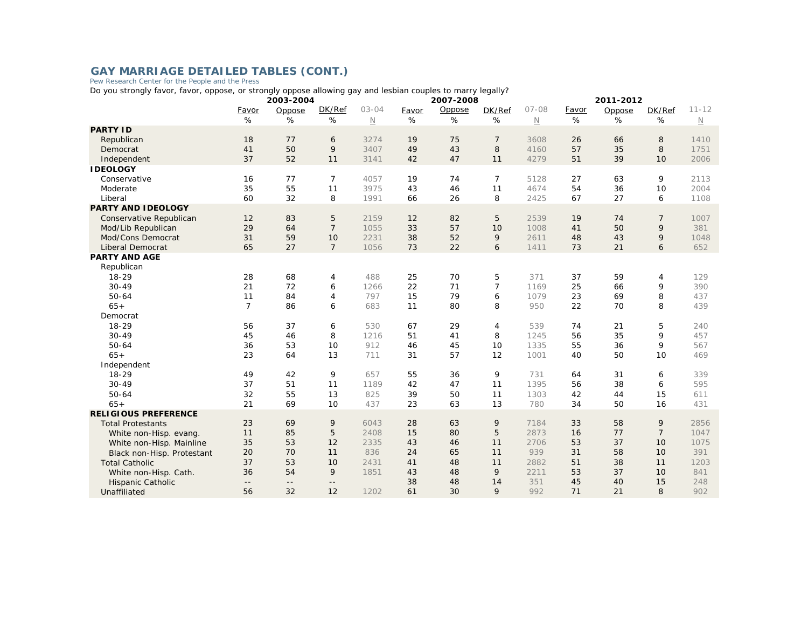## GAY MARRIAGE DETAILED TABLES (CONT.)<br>Pew Research Center for the People and the Press

Do you strongly favor, favor, oppose, or strongly oppose allowing gay and lesbian couples to marry legally?

|                             | 2003-2004                  |            |                 |             | 2007-2008 |        |                |                       | 2011-2012 |        |                |                          |  |
|-----------------------------|----------------------------|------------|-----------------|-------------|-----------|--------|----------------|-----------------------|-----------|--------|----------------|--------------------------|--|
|                             | Favor                      | Oppose     | DK/Ref          | $03 - 04$   | Favor     | Oppose | DK/Ref         | $07 - 08$             | Favor     | Oppose | DK/Ref         | $11 - 12$                |  |
|                             | %                          | %          | %               | $\mathbb N$ | %         | %      | %              | $\hbox{\color{red}N}$ | %         | %      | %              | $\underline{\mathsf{N}}$ |  |
| <b>PARTY ID</b>             |                            |            |                 |             |           |        |                |                       |           |        |                |                          |  |
| Republican                  | 18                         | 77         | 6               | 3274        | 19        | 75     | 7              | 3608                  | 26        | 66     | 8              | 1410                     |  |
| Democrat                    | 41                         | 50         | 9               | 3407        | 49        | 43     | 8              | 4160                  | 57        | 35     | 8              | 1751                     |  |
| Independent                 | 37                         | 52         | 11              | 3141        | 42        | 47     | 11             | 4279                  | 51        | 39     | 10             | 2006                     |  |
| <b>IDEOLOGY</b>             |                            |            |                 |             |           |        |                |                       |           |        |                |                          |  |
| Conservative                | 16                         | 77         | $\overline{7}$  | 4057        | 19        | 74     | $\overline{7}$ | 5128                  | 27        | 63     | 9              | 2113                     |  |
| Moderate                    | 35                         | 55         | 11              | 3975        | 43        | 46     | 11             | 4674                  | 54        | 36     | 10             | 2004                     |  |
| Liberal                     | 60                         | 32         | 8               | 1991        | 66        | 26     | 8              | 2425                  | 67        | 27     | 6              | 1108                     |  |
| <b>PARTY AND IDEOLOGY</b>   |                            |            |                 |             |           |        |                |                       |           |        |                |                          |  |
| Conservative Republican     | 12                         | 83         | 5               | 2159        | 12        | 82     | 5              | 2539                  | 19        | 74     | $\overline{7}$ | 1007                     |  |
| Mod/Lib Republican          | 29                         | 64         | $\overline{7}$  | 1055        | 33        | 57     | 10             | 1008                  | 41        | 50     | 9              | 381                      |  |
| Mod/Cons Democrat           | 31                         | 59         | 10              | 2231        | 38        | 52     | 9              | 2611                  | 48        | 43     | 9              | 1048                     |  |
| <b>Liberal Democrat</b>     | 65                         | 27         | $7\overline{ }$ | 1056        | 73        | 22     | 6              | 1411                  | 73        | 21     | 6              | 652                      |  |
| <b>PARTY AND AGE</b>        |                            |            |                 |             |           |        |                |                       |           |        |                |                          |  |
| Republican                  |                            |            |                 |             |           |        |                |                       |           |        |                |                          |  |
| $18 - 29$                   | 28                         | 68         | 4               | 488         | 25        | 70     | 5              | 371                   | 37        | 59     | 4              | 129                      |  |
| $30 - 49$                   | 21                         | 72         | 6               | 1266        | 22        | 71     | $\overline{7}$ | 1169                  | 25        | 66     | 9              | 390                      |  |
| $50 - 64$                   | 11                         | 84         | $\overline{4}$  | 797         | 15        | 79     | 6              | 1079                  | 23        | 69     | 8              | 437                      |  |
| $65+$                       | $\overline{7}$             | 86         | 6               | 683         | 11        | 80     | 8              | 950                   | 22        | 70     | 8              | 439                      |  |
| Democrat                    |                            |            |                 |             |           |        |                |                       |           |        |                |                          |  |
| $18 - 29$                   | 56                         | 37         | 6               | 530         | 67        | 29     | $\overline{4}$ | 539                   | 74        | 21     | 5              | 240                      |  |
| $30 - 49$                   | 45                         | 46         | 8               | 1216        | 51        | 41     | 8              | 1245                  | 56        | 35     | 9              | 457                      |  |
| $50 - 64$                   | 36                         | 53         | 10              | 912         | 46        | 45     | 10             | 1335                  | 55        | 36     | 9              | 567                      |  |
| $65+$                       | 23                         | 64         | 13              | 711         | 31        | 57     | 12             | 1001                  | 40        | 50     | 10             | 469                      |  |
| Independent                 |                            |            |                 |             |           |        |                |                       |           |        |                |                          |  |
| $18 - 29$                   | 49                         | 42         | 9               | 657         | 55        | 36     | 9              | 731                   | 64        | 31     | 6              | 339                      |  |
| $30 - 49$                   | 37                         | 51         | 11              | 1189        | 42        | 47     | 11             | 1395                  | 56        | 38     | 6              | 595                      |  |
| $50 - 64$                   | 32                         | 55         | 13              | 825         | 39        | 50     | 11             | 1303                  | 42        | 44     | 15             | 611                      |  |
| $65+$                       | 21                         | 69         | 10              | 437         | 23        | 63     | 13             | 780                   | 34        | 50     | 16             | 431                      |  |
| <b>RELIGIOUS PREFERENCE</b> |                            |            |                 |             |           |        |                |                       |           |        |                |                          |  |
| <b>Total Protestants</b>    | 23                         | 69         | 9               | 6043        | 28        | 63     | 9              | 7184                  | 33        | 58     | 9              | 2856                     |  |
| White non-Hisp. evang       | 11                         | 85         | 5               | 2408        | 15        | 80     | 5              | 2873                  | 16        | 77     | $\overline{7}$ | 1047                     |  |
| White non-Hisp. Mainline    | 35                         | 53         | 12              | 2335        | 43        | 46     | 11             | 2706                  | 53        | 37     | 10             | 1075                     |  |
| Black non-Hisp. Protestant  | 20                         | 70         | 11              | 836         | 24        | 65     | 11             | 939                   | 31        | 58     | 10             | 391                      |  |
| <b>Total Catholic</b>       | 37                         | 53         | 10              | 2431        | 41        | 48     | 11             | 2882                  | 51        | 38     | 11             | 1203                     |  |
| White non-Hisp. Cath.       | 36                         | 54         | 9               | 1851        | 43        | 48     | 9              | 2211                  | 53        | 37     | 10             | 841                      |  |
| Hispanic Catholic           | $\overline{\phantom{a}}$ . | $\sim$ $-$ | $\sim$ $-$      |             | 38        | 48     | 14             | 351                   | 45        | 40     | 15             | 248                      |  |
| Unaffiliated                | 56                         | 32         | 12              | 1202        | 61        | 30     | 9              | 992                   | 71        | 21     | 8              | 902                      |  |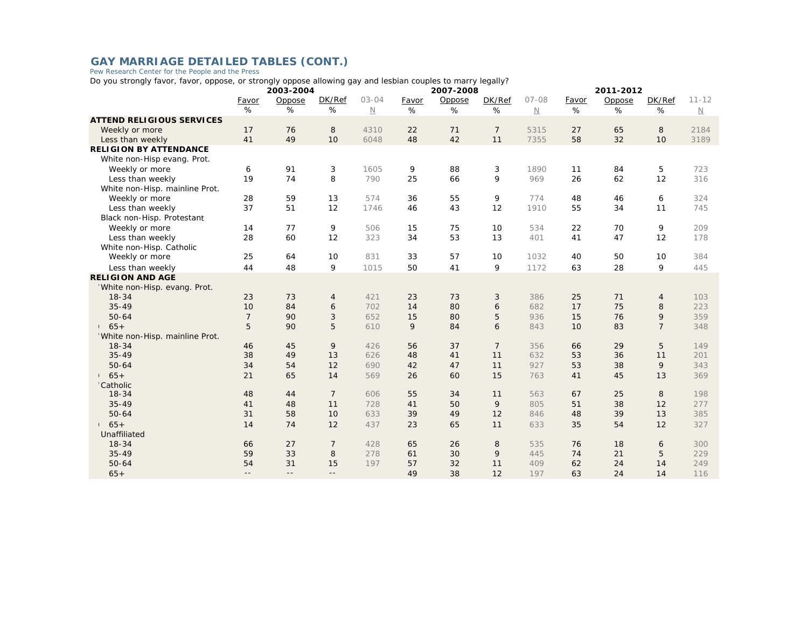## GAY MARRIAGE DETAILED TABLES (CONT.)<br>Pew Research Center for the People and the Press

Do you strongly favor, favor, oppose, or strongly oppose allowing gay and lesbian couples to marry legally?

|                                  | 2003-2004      |          |                |             |          | 2007-2008 |                |             | 2011-2012 |          |                |             |
|----------------------------------|----------------|----------|----------------|-------------|----------|-----------|----------------|-------------|-----------|----------|----------------|-------------|
|                                  | Favor          | Oppose   | DK/Ref         | $03 - 04$   | Favor    | Oppose    | DK/Ref         | $07 - 08$   | Favor     | Oppose   | DK/Ref         | $11 - 12$   |
|                                  | %              | %        | %              | $\mathbb N$ | %        | %         | %              | $\mathbb N$ | %         | %        | %              | $\mathbb N$ |
| <b>ATTEND RELIGIOUS SERVICES</b> |                |          |                |             |          |           |                |             |           |          |                |             |
| Weekly or more                   | 17             | 76       | 8              | 4310        | 22       | 71        | $\overline{7}$ | 5315        | 27        | 65       | 8              | 2184        |
| Less than weekly                 | 41             | 49       | 10             | 6048        | 48       | 42        | 11             | 7355        | 58        | 32       | 10             | 3189        |
| <b>RELIGION BY ATTENDANCE</b>    |                |          |                |             |          |           |                |             |           |          |                |             |
| White non-Hisp evang. Prot.      |                |          |                |             |          |           |                |             |           |          |                |             |
| Weekly or more                   | 6              | 91       | 3              | 1605        | 9        | 88        | 3              | 1890        | 11        | 84       | 5              | 723         |
| Less than weekly                 | 19             | 74       | 8              | 790         | 25       | 66        | 9              | 969         | 26        | 62       | 12             | 316         |
| White non-Hisp. mainline Prot.   |                |          |                |             |          |           |                |             |           |          |                |             |
| Weekly or more                   | 28             | 59       | 13             | 574         | 36       | 55        | 9              | 774         | 48        | 46       | 6              | 324         |
| Less than weekly                 | 37             | 51       | 12             | 1746        | 46       | 43        | 12             | 1910        | 55        | 34       | 11             | 745         |
| Black non-Hisp. Protestant       |                |          |                |             |          |           |                |             |           |          |                |             |
| Weekly or more                   | 14             | 77       | 9              | 506         | 15       | 75        | 10             | 534         | 22        | 70       | 9              | 209         |
| Less than weekly                 | 28             | 60       | 12             | 323         | 34       | 53        | 13             | 401         | 41        | 47       | 12             | 178         |
| White non-Hisp. Catholic         |                |          |                |             |          |           |                |             |           |          |                |             |
| Weekly or more                   | 25             | 64       | 10             | 831         | 33       | 57        | 10             | 1032        | 40        | 50       | 10             | 384         |
| Less than weekly                 | 44             | 48       | 9              | 1015        | 50       | 41        | 9              | 1172        | 63        | 28       | 9              | 445         |
| <b>RELIGION AND AGE</b>          |                |          |                |             |          |           |                |             |           |          |                |             |
| White non-Hisp. evang. Prot.     |                |          |                |             |          |           |                |             |           |          |                |             |
| $18 - 34$                        | 23             | 73       | 4              | 421         | 23       | 73        | 3              | 386         | 25        | 71       | $\overline{4}$ | 103         |
| $35 - 49$                        | 10             | 84       | 6              | 702         | 14       | 80        | 6              | 682         | 17        | 75       | 8              | 223         |
| $50 - 64$                        | $\overline{7}$ | 90       | 3              | 652         | 15       | 80        | 5              | 936         | 15        | 76       | 9              | 359         |
| $65+$                            | 5              | 90       | 5              | 610         | 9        | 84        | 6              | 843         | 10        | 83       | $\overline{7}$ | 348         |
| White non-Hisp. mainline Prot.   |                |          |                |             |          |           |                |             |           |          |                |             |
| 18 34                            | 46             | 45       | 9              | 426         | 56       | 37        | $\overline{7}$ | 356         | 66        | 29       | 5              | 149         |
| $35 - 49$                        | 38             | 49       | 13             | 626         | 48       | 41        | 11             | 632         | 53        | 36       | 11             | 201         |
| $50 - 64$                        | 34             | 54       | 12             | 690         | 42       | 47        | 11             | 927         | 53        | 38       | 9              | 343         |
| $65+$                            | 21             | 65       | 14             | 569         | 26       | 60        | 15             | 763         | 41        | 45       | 13             | 369         |
| Catholic<br>$18 - 34$            | 48             | 44       | $\overline{7}$ | 606         | 55       | 34        | 11             | 563         | 67        | 25       |                | 198         |
|                                  |                |          |                |             |          |           |                |             |           |          | 8              |             |
| $35 - 49$<br>$50 - 64$           | 41<br>31       | 48<br>58 | 11<br>10       | 728         | 41<br>39 | 50        | 9<br>12        | 805         | 51        | 38<br>39 | 12<br>13       | 277<br>385  |
|                                  |                |          |                | 633         |          | 49        |                | 846         | 48        |          |                |             |
| $65+$                            | 14             | 74       | 12             | 437         | 23       | 65        | 11             | 633         | 35        | 54       | 12             | 327         |
| Unaffiliated                     |                |          |                |             |          |           |                |             |           |          |                |             |
| $18 - 34$                        | 66             | 27       | $\overline{7}$ | 428         | 65       | 26        | 8              | 535         | 76        | 18       | 6              | 300         |
| $35 - 49$                        | 59             | 33       | 8              | 278         | 61       | 30        | 9              | 445         | 74        | 21       | 5              | 229         |
| $50 - 64$                        | 54             | 31       | 15             | 197         | 57       | 32        | 11             | 409         | 62        | 24       | 14             | 249         |
| $65+$                            | $- -$          | $- -$    | $\sim$ $-$     |             | 49       | 38        | 12             | 197         | 63        | 24       | 14             | 116         |